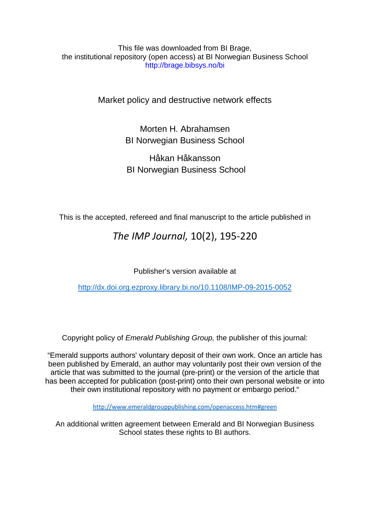This file was downloaded from BI Brage, the institutional repository (open access) at BI Norwegian Business School http://brage.bibsys.no/bi

[Market policy and destructive network effects](https://scholar.google.no/citations?view_op=view_citation&hl=en&user=wnzA7X4AAAAJ&sortby=pubdate&citation_for_view=wnzA7X4AAAAJ:Se3iqnhoufwC)

Morten H. Abrahamsen BI Norwegian Business School

Håkan Håkansson BI Norwegian Business School

This is the accepted, refereed and final manuscript to the article published in

# *The IMP Journal,* 10(2), 195-220

Publisher's version available at

<http://dx.doi.org.ezproxy.library.bi.no/10.1108/IMP-09-2015-0052>

Copyright policy of *Emerald Publishing Group,* the publisher of this journal:

"Emerald supports authors' voluntary deposit of their own work. Once an article has been published by Emerald, an author may voluntarily post their own version of the article that was submitted to the journal (pre-print) or the version of the article that has been accepted for publication (post-print) onto their own personal website or into their own institutional repository with no payment or embargo period."

<http://www.emeraldgrouppublishing.com/openaccess.htm#green>

An additional written agreement between Emerald and BI Norwegian Business School states these rights to BI authors.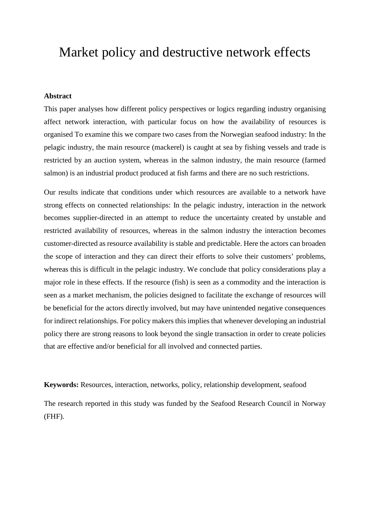# Market policy and destructive network effects

#### **Abstract**

This paper analyses how different policy perspectives or logics regarding industry organising affect network interaction, with particular focus on how the availability of resources is organised To examine this we compare two cases from the Norwegian seafood industry: In the pelagic industry, the main resource (mackerel) is caught at sea by fishing vessels and trade is restricted by an auction system, whereas in the salmon industry, the main resource (farmed salmon) is an industrial product produced at fish farms and there are no such restrictions.

Our results indicate that conditions under which resources are available to a network have strong effects on connected relationships: In the pelagic industry, interaction in the network becomes supplier-directed in an attempt to reduce the uncertainty created by unstable and restricted availability of resources, whereas in the salmon industry the interaction becomes customer-directed as resource availability is stable and predictable. Here the actors can broaden the scope of interaction and they can direct their efforts to solve their customers' problems, whereas this is difficult in the pelagic industry. We conclude that policy considerations play a major role in these effects. If the resource (fish) is seen as a commodity and the interaction is seen as a market mechanism, the policies designed to facilitate the exchange of resources will be beneficial for the actors directly involved, but may have unintended negative consequences for indirect relationships. For policy makers this implies that whenever developing an industrial policy there are strong reasons to look beyond the single transaction in order to create policies that are effective and/or beneficial for all involved and connected parties.

**Keywords:** Resources, interaction, networks, policy, relationship development, seafood

The research reported in this study was funded by the Seafood Research Council in Norway (FHF).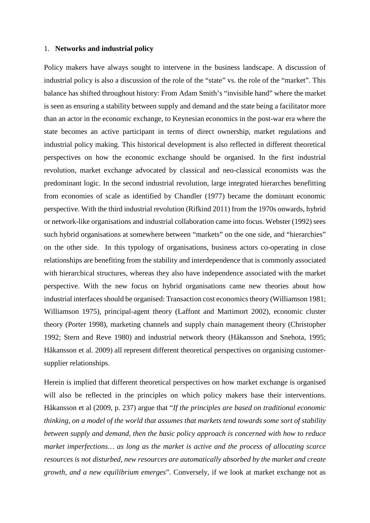#### 1. **Networks and industrial policy**

Policy makers have always sought to intervene in the business landscape. A discussion of industrial policy is also a discussion of the role of the "state" vs. the role of the "market". This balance has shifted throughout history: From Adam Smith's "invisible hand" where the market is seen as ensuring a stability between supply and demand and the state being a facilitator more than an actor in the economic exchange, to Keynesian economics in the post-war era where the state becomes an active participant in terms of direct ownership, market regulations and industrial policy making. This historical development is also reflected in different theoretical perspectives on how the economic exchange should be organised. In the first industrial revolution, market exchange advocated by classical and neo-classical economists was the predominant logic. In the second industrial revolution, large integrated hierarches benefitting from economies of scale as identified by Chandler [\(1977\)](#page-32-0) became the dominant economic perspective. With the third industrial revolution [\(Rifkind 2011\)](#page-35-0) from the 1970s onwards, hybrid or network-like organisations and industrial collaboration came into focus. Webster [\(1992\)](#page-35-1) sees such hybrid organisations at somewhere between "markets" on the one side, and "hierarchies" on the other side. In this typology of organisations, business actors co-operating in close relationships are benefiting from the stability and interdependence that is commonly associated with hierarchical structures, whereas they also have independence associated with the market perspective. With the new focus on hybrid organisations came new theories about how industrial interfaces should be organised: Transaction cost economics theory [\(Williamson 1981;](#page-35-2) [Williamson 1975\)](#page-35-3), principal-agent theory [\(Laffont and Martimort 2002\)](#page-34-0), economic cluster theory (Porter 1998), marketing channels and supply chain management theory [\(Christopher](#page-33-0)  [1992;](#page-33-0) [Stern and Reve 1980\)](#page-35-4) and industrial network theory (Håkansson and Snehota, 1995; Håkansson et al. 2009) all represent different theoretical perspectives on organising customersupplier relationships.

Herein is implied that different theoretical perspectives on how market exchange is organised will also be reflected in the principles on which policy makers base their interventions. Håkansson et al (2009, p. 237) argue that "*If the principles are based on traditional economic thinking, on a model of the world that assumes that markets tend towards some sort of stability between supply and demand, then the basic policy approach is concerned with how to reduce market imperfections… as long as the market is active and the process of allocating scarce resources is not disturbed, new resources are automatically absorbed by the market and create growth, and a new equilibrium emerges*". Conversely, if we look at market exchange not as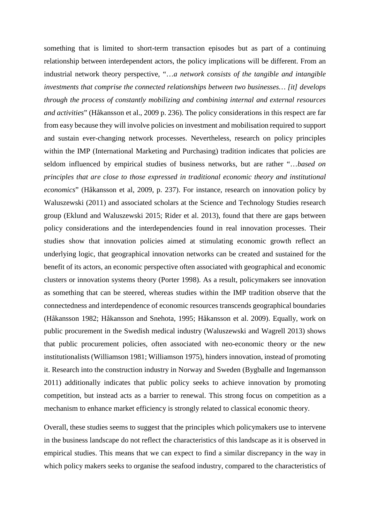something that is limited to short-term transaction episodes but as part of a continuing relationship between interdependent actors, the policy implications will be different. From an industrial network theory perspective, "…*a network consists of the tangible and intangible investments that comprise the connected relationships between two businesses… [it] develops through the process of constantly mobilizing and combining internal and external resources and activities*" (Håkansson et al., 2009 p. 236). The policy considerations in this respect are far from easy because they will involve policies on investment and mobilisation required to support and sustain ever-changing network processes. Nevertheless, research on policy principles within the IMP (International Marketing and Purchasing) tradition indicates that policies are seldom influenced by empirical studies of business networks, but are rather "…*based on principles that are close to those expressed in traditional economic theory and institutional economics*" (Håkansson et al, 2009, p. 237). For instance, research on innovation policy by Waluszewski [\(2011\)](#page-35-5) and associated scholars at the Science and Technology Studies research group [\(Eklund and Waluszewski 2015;](#page-33-1) [Rider et al. 2013\)](#page-34-1), found that there are gaps between policy considerations and the interdependencies found in real innovation processes. Their studies show that innovation policies aimed at stimulating economic growth reflect an underlying logic, that geographical innovation networks can be created and sustained for the benefit of its actors, an economic perspective often associated with geographical and economic clusters or innovation systems theory [\(Porter 1998\)](#page-34-2). As a result, policymakers see innovation as something that can be steered, whereas studies within the IMP tradition observe that the connectedness and interdependence of economic resources transcends geographical boundaries (Håkansson 1982; Håkansson and Snehota, 1995; Håkansson et al. 2009). Equally, work on public procurement in the Swedish medical industry [\(Waluszewski and Wagrell 2013\)](#page-35-6) shows that public procurement policies, often associated with neo-economic theory or the new institutionalists [\(Williamson 1981;](#page-35-2) [Williamson 1975\)](#page-35-3), hinders innovation, instead of promoting it. Research into the construction industry in Norway and Sweden [\(Bygballe and Ingemansson](#page-32-1)  [2011\)](#page-32-1) additionally indicates that public policy seeks to achieve innovation by promoting competition, but instead acts as a barrier to renewal. This strong focus on competition as a mechanism to enhance market efficiency is strongly related to classical economic theory.

Overall, these studies seems to suggest that the principles which policymakers use to intervene in the business landscape do not reflect the characteristics of this landscape as it is observed in empirical studies. This means that we can expect to find a similar discrepancy in the way in which policy makers seeks to organise the seafood industry, compared to the characteristics of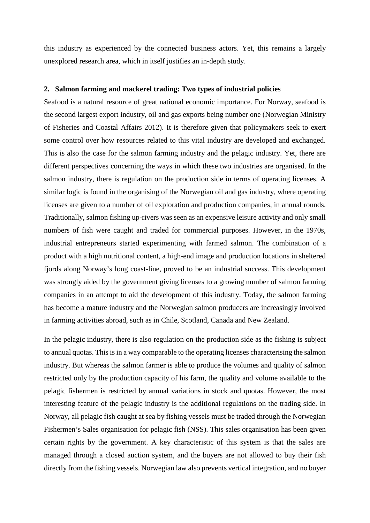this industry as experienced by the connected business actors. Yet, this remains a largely unexplored research area, which in itself justifies an in-depth study.

#### **2. Salmon farming and mackerel trading: Two types of industrial policies**

Seafood is a natural resource of great national economic importance. For Norway, seafood is the second largest export industry, oil and gas exports being number one [\(Norwegian Ministry](#page-34-3)  [of Fisheries and Coastal Affairs 2012\)](#page-34-3). It is therefore given that policymakers seek to exert some control over how resources related to this vital industry are developed and exchanged. This is also the case for the salmon farming industry and the pelagic industry. Yet, there are different perspectives concerning the ways in which these two industries are organised. In the salmon industry, there is regulation on the production side in terms of operating licenses. A similar logic is found in the organising of the Norwegian oil and gas industry, where operating licenses are given to a number of oil exploration and production companies, in annual rounds. Traditionally, salmon fishing up-rivers was seen as an expensive leisure activity and only small numbers of fish were caught and traded for commercial purposes. However, in the 1970s, industrial entrepreneurs started experimenting with farmed salmon. The combination of a product with a high nutritional content, a high-end image and production locations in sheltered fjords along Norway's long coast-line, proved to be an industrial success. This development was strongly aided by the government giving licenses to a growing number of salmon farming companies in an attempt to aid the development of this industry. Today, the salmon farming has become a mature industry and the Norwegian salmon producers are increasingly involved in farming activities abroad, such as in Chile, Scotland, Canada and New Zealand.

In the pelagic industry, there is also regulation on the production side as the fishing is subject to annual quotas. This is in a way comparable to the operating licenses characterising the salmon industry. But whereas the salmon farmer is able to produce the volumes and quality of salmon restricted only by the production capacity of his farm, the quality and volume available to the pelagic fishermen is restricted by annual variations in stock and quotas. However, the most interesting feature of the pelagic industry is the additional regulations on the trading side. In Norway, all pelagic fish caught at sea by fishing vessels must be traded through the Norwegian Fishermen's Sales organisation for pelagic fish (NSS). This sales organisation has been given certain rights by the government. A key characteristic of this system is that the sales are managed through a closed auction system, and the buyers are not allowed to buy their fish directly from the fishing vessels. Norwegian law also prevents vertical integration, and no buyer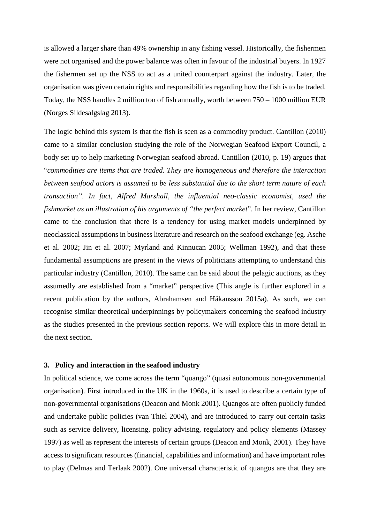is allowed a larger share than 49% ownership in any fishing vessel. Historically, the fishermen were not organised and the power balance was often in favour of the industrial buyers. In 1927 the fishermen set up the NSS to act as a united counterpart against the industry. Later, the organisation was given certain rights and responsibilities regarding how the fish is to be traded. Today, the NSS handles 2 million ton of fish annually, worth between 750 – 1000 million EUR [\(Norges Sildesalgslag 2013\)](#page-34-4).

The logic behind this system is that the fish is seen as a commodity product. Cantillon [\(2010\)](#page-32-2) came to a similar conclusion studying the role of the Norwegian Seafood Export Council, a body set up to help marketing Norwegian seafood abroad. Cantillon (2010, p. 19) argues that "*commodities are items that are traded. They are homogeneous and therefore the interaction between seafood actors is assumed to be less substantial due to the short term nature of each transaction". In fact, Alfred Marshall, the influential neo-classic economist, used the fishmarket as an illustration of his arguments of "the perfect market*". In her review, Cantillon came to the conclusion that there is a tendency for using market models underpinned by neoclassical assumptions in business literature and research on the seafood exchange (eg[. Asche](#page-32-3)  [et al. 2002;](#page-32-3) [Jin et al. 2007;](#page-34-5) [Myrland and Kinnucan 2005;](#page-34-6) [Wellman 1992\)](#page-35-7), and that these fundamental assumptions are present in the views of politicians attempting to understand this particular industry (Cantillon, 2010). The same can be said about the pelagic auctions, as they assumedly are established from a "market" perspective [\(This angle is further explored in a](#page-32-4)  [recent publication by the authors, Abrahamsen and Håkansson 2015a\)](#page-32-4). As such, we can recognise similar theoretical underpinnings by policymakers concerning the seafood industry as the studies presented in the previous section reports. We will explore this in more detail in the next section.

#### **3. Policy and interaction in the seafood industry**

In political science, we come across the term "quango" (quasi autonomous non-governmental organisation). First introduced in the UK in the 1960s, it is used to describe a certain type of non-governmental organisations [\(Deacon and Monk 2001\)](#page-33-2). Quangos are often publicly funded and undertake public policies [\(van Thiel 2004\)](#page-35-8), and are introduced to carry out certain tasks such as service delivery, licensing, policy advising, regulatory and policy elements [\(Massey](#page-34-7)  [1997\)](#page-34-7) as well as represent the interests of certain groups (Deacon and Monk, 2001). They have access to significant resources (financial, capabilities and information) and have important roles to play [\(Delmas and Terlaak 2002\)](#page-33-3). One universal characteristic of quangos are that they are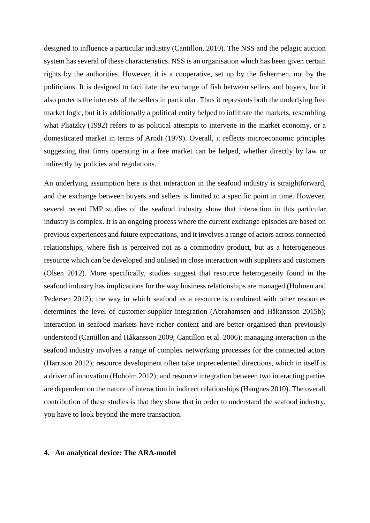designed to influence a particular industry (Cantillon, 2010). The NSS and the pelagic auction system has several of these characteristics. NSS is an organisation which has been given certain rights by the authorities. However, it is a cooperative, set up by the fishermen, not by the politicians. It is designed to facilitate the exchange of fish between sellers and buyers, but it also protects the interests of the sellers in particular. Thus it represents both the underlying free market logic, but it is additionally a political entity helped to infiltrate the markets, resembling what Pliatzky [\(1992\)](#page-34-8) refers to as political attempts to intervene in the market economy, or a domesticated market in terms of Arndt [\(1979\)](#page-32-5). Overall, it reflects microeconomic principles suggesting that firms operating in a free market can be helped, whether directly by law or indirectly by policies and regulations.

An underlying assumption here is that interaction in the seafood industry is straightforward, and the exchange between buyers and sellers is limited to a specific point in time. However, several recent IMP studies of the seafood industry show that interaction in this particular industry is complex. It is an ongoing process where the current exchange episodes are based on previous experiences and future expectations, and it involves a range of actors across connected relationships, where fish is perceived not as a commodity product, but as a heterogeneous resource which can be developed and utilised in close interaction with suppliers and customers [\(Olsen 2012\)](#page-34-9). More specifically, studies suggest that resource heterogeneity found in the seafood industry has implications for the way business relationships are managed [\(Holmen and](#page-33-4)  [Pedersen 2012\)](#page-33-4); the way in which seafood as a resource is combined with other resources determines the level of customer-supplier integration [\(Abrahamsen and Håkansson 2015b\)](#page-32-6); interaction in seafood markets have richer content and are better organised than previously understood (Cantillon and [Håkansson 2009;](#page-32-7) [Cantillon et al. 2006\)](#page-32-8); managing interaction in the seafood industry involves a range of complex networking processes for the connected actors [\(Harrison 2012\)](#page-33-5); resource development often take unprecedented directions, which in itself is a driver of innovation [\(Hoholm 2012\)](#page-33-6); and resource integration between two interacting parties are dependent on the nature of interaction in indirect relationships [\(Haugnes 2010\)](#page-33-7). The overall contribution of these studies is that they show that in order to understand the seafood industry, you have to look beyond the mere transaction.

#### **4. An analytical device: The ARA-model**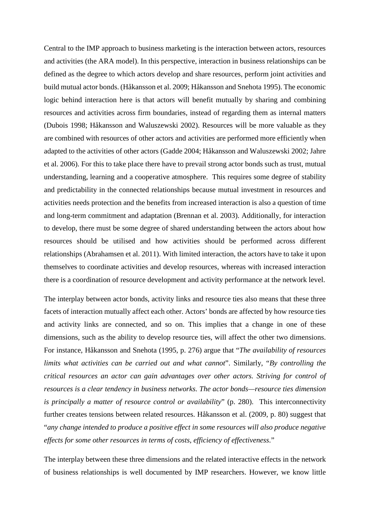Central to the IMP approach to business marketing is the interaction between actors, resources and activities (the ARA model). In this perspective, interaction in business relationships can be defined as the degree to which actors develop and share resources, perform joint activities and build mutual actor bonds. [\(Håkansson et al. 2009;](#page-33-8) [Håkansson and Snehota 1995\)](#page-33-9). The economic logic behind interaction here is that actors will benefit mutually by sharing and combining resources and activities across firm boundaries, instead of regarding them as internal matters [\(Dubois 1998;](#page-33-10) [Håkansson and Waluszewski 2002\)](#page-33-11). Resources will be more valuable as they are combined with resources of other actors and activities are performed more efficiently when adapted to the activities of other actors [\(Gadde 2004;](#page-33-12) [Håkansson and Waluszewski 2002;](#page-33-11) [Jahre](#page-34-10)  [et al. 2006\)](#page-34-10). For this to take place there have to prevail strong actor bonds such as trust, mutual understanding, learning and a cooperative atmosphere. This requires some degree of stability and predictability in the connected relationships because mutual investment in resources and activities needs protection and the benefits from increased interaction is also a question of time and long-term commitment and adaptation [\(Brennan et al. 2003\)](#page-32-9). Additionally, for interaction to develop, there must be some degree of shared understanding between the actors about how resources should be utilised and how activities should be performed across different relationships [\(Abrahamsen et al. 2011\)](#page-32-10). With limited interaction, the actors have to take it upon themselves to coordinate activities and develop resources, whereas with increased interaction there is a coordination of resource development and activity performance at the network level.

The interplay between actor bonds, activity links and resource ties also means that these three facets of interaction mutually affect each other. Actors' bonds are affected by how resource ties and activity links are connected, and so on. This implies that a change in one of these dimensions, such as the ability to develop resource ties, will affect the other two dimensions. For instance, Håkansson and Snehota (1995, p. 276) argue that "*The availability of resources limits what activities can be carried out and what cannot*". Similarly, "*By controlling the critical resources an actor can gain advantages over other actors. Striving for control of resources is a clear tendency in business networks. The actor bonds—resource ties dimension is principally a matter of resource control or availability*" (p. 280). This interconnectivity further creates tensions between related resources. Håkansson et al. (2009, p. 80) suggest that "*any change intended to produce a positive effect in some resources will also produce negative effects for some other resources in terms of costs, efficiency of effectiveness.*"

The interplay between these three dimensions and the related interactive effects in the network of business relationships is well documented by IMP researchers. However, we know little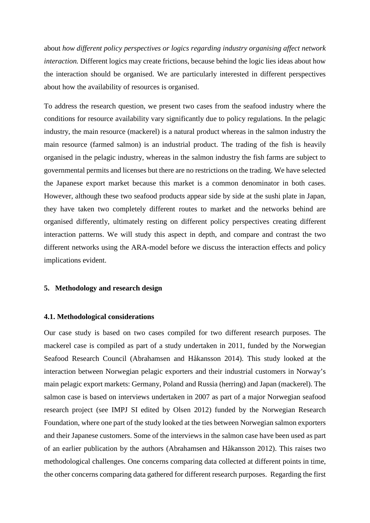about *how different policy perspectives or logics regarding industry organising affect network interaction.* Different logics may create frictions, because behind the logic lies ideas about how the interaction should be organised. We are particularly interested in different perspectives about how the availability of resources is organised.

To address the research question, we present two cases from the seafood industry where the conditions for resource availability vary significantly due to policy regulations. In the pelagic industry, the main resource (mackerel) is a natural product whereas in the salmon industry the main resource (farmed salmon) is an industrial product. The trading of the fish is heavily organised in the pelagic industry, whereas in the salmon industry the fish farms are subject to governmental permits and licenses but there are no restrictions on the trading. We have selected the Japanese export market because this market is a common denominator in both cases. However, although these two seafood products appear side by side at the sushi plate in Japan, they have taken two completely different routes to market and the networks behind are organised differently, ultimately resting on different policy perspectives creating different interaction patterns. We will study this aspect in depth, and compare and contrast the two different networks using the ARA-model before we discuss the interaction effects and policy implications evident.

## **5. Methodology and research design**

#### **4.1. Methodological considerations**

Our case study is based on two cases compiled for two different research purposes. The mackerel case is compiled as part of a study undertaken in 2011, funded by the Norwegian Seafood Research Council [\(Abrahamsen and Håkansson 2014\)](#page-32-11). This study looked at the interaction between Norwegian pelagic exporters and their industrial customers in Norway's main pelagic export markets: Germany, Poland and Russia (herring) and Japan (mackerel). The salmon case is based on interviews undertaken in 2007 as part of a major Norwegian seafood research project [\(see IMPJ SI edited by Olsen 2012\)](#page-34-9) funded by the Norwegian Research Foundation, where one part of the study looked at the ties between Norwegian salmon exporters and their Japanese customers. Some of the interviews in the salmon case have been used as part of an earlier publication by the authors [\(Abrahamsen and Håkansson 2012\)](#page-32-12). This raises two methodological challenges. One concerns comparing data collected at different points in time, the other concerns comparing data gathered for different research purposes. Regarding the first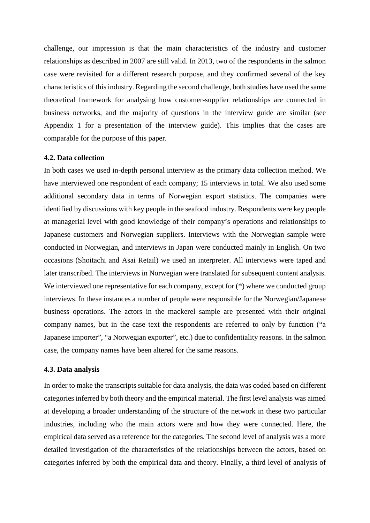challenge, our impression is that the main characteristics of the industry and customer relationships as described in 2007 are still valid. In 2013, two of the respondents in the salmon case were revisited for a different research purpose, and they confirmed several of the key characteristics of this industry. Regarding the second challenge, both studies have used the same theoretical framework for analysing how customer-supplier relationships are connected in business networks, and the majority of questions in the interview guide are similar (see Appendix 1 for a presentation of the interview guide). This implies that the cases are comparable for the purpose of this paper.

# **4.2. Data collection**

In both cases we used in-depth personal interview as the primary data collection method. We have interviewed one respondent of each company; 15 interviews in total. We also used some additional secondary data in terms of Norwegian export statistics. The companies were identified by discussions with key people in the seafood industry. Respondents were key people at managerial level with good knowledge of their company's operations and relationships to Japanese customers and Norwegian suppliers. Interviews with the Norwegian sample were conducted in Norwegian, and interviews in Japan were conducted mainly in English. On two occasions (Shoitachi and Asai Retail) we used an interpreter. All interviews were taped and later transcribed. The interviews in Norwegian were translated for subsequent content analysis. We interviewed one representative for each company, except for  $(*)$  where we conducted group interviews. In these instances a number of people were responsible for the Norwegian/Japanese business operations. The actors in the mackerel sample are presented with their original company names, but in the case text the respondents are referred to only by function ("a Japanese importer", "a Norwegian exporter", etc.) due to confidentiality reasons. In the salmon case, the company names have been altered for the same reasons.

#### **4.3. Data analysis**

In order to make the transcripts suitable for data analysis, the data was coded based on different categories inferred by both theory and the empirical material. The first level analysis was aimed at developing a broader understanding of the structure of the network in these two particular industries, including who the main actors were and how they were connected. Here, the empirical data served as a reference for the categories. The second level of analysis was a more detailed investigation of the characteristics of the relationships between the actors, based on categories inferred by both the empirical data and theory. Finally, a third level of analysis of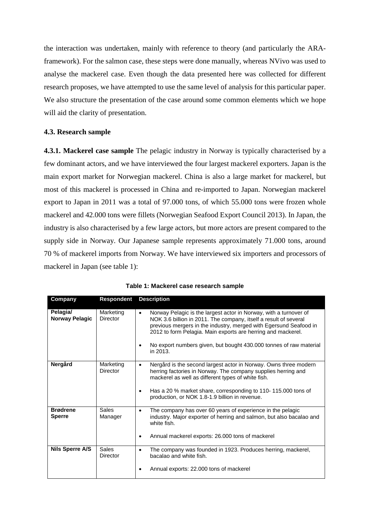the interaction was undertaken, mainly with reference to theory (and particularly the ARAframework). For the salmon case, these steps were done manually, whereas NVivo was used to analyse the mackerel case. Even though the data presented here was collected for different research proposes, we have attempted to use the same level of analysis for this particular paper. We also structure the presentation of the case around some common elements which we hope will aid the clarity of presentation.

# **4.3. Research sample**

**4.3.1. Mackerel case sample** The pelagic industry in Norway is typically characterised by a few dominant actors, and we have interviewed the four largest mackerel exporters. Japan is the main export market for Norwegian mackerel. China is also a large market for mackerel, but most of this mackerel is processed in China and re-imported to Japan. Norwegian mackerel export to Japan in 2011 was a total of 97.000 tons, of which 55.000 tons were frozen whole mackerel and 42.000 tons were fillets [\(Norwegian Seafood Export Council 2013\)](#page-34-11). In Japan, the industry is also characterised by a few large actors, but more actors are present compared to the supply side in Norway. Our Japanese sample represents approximately 71.000 tons, around 70 % of mackerel imports from Norway. We have interviewed six importers and processors of mackerel in Japan (see table 1):

| Company                           | <b>Respondent</b>            | <b>Description</b>                                                                                                                                                                                                                                                                                                                                                |
|-----------------------------------|------------------------------|-------------------------------------------------------------------------------------------------------------------------------------------------------------------------------------------------------------------------------------------------------------------------------------------------------------------------------------------------------------------|
| Pelagia/<br><b>Norway Pelagic</b> | Marketing<br><b>Director</b> | Norway Pelagic is the largest actor in Norway, with a turnover of<br>٠<br>NOK 3.6 billion in 2011. The company, itself a result of several<br>previous mergers in the industry, merged with Egersund Seafood in<br>2012 to form Pelagia. Main exports are herring and mackerel.<br>No export numbers given, but bought 430.000 tonnes of raw material<br>in 2013. |
| Nergård                           | Marketing<br><b>Director</b> | Nergård is the second largest actor in Norway. Owns three modern<br>$\bullet$<br>herring factories in Norway. The company supplies herring and<br>mackerel as well as different types of white fish.<br>Has a 20 % market share, corresponding to 110-115.000 tons of<br>$\bullet$<br>production, or NOK 1.8-1.9 billion in revenue.                              |
| <b>Brødrene</b><br><b>Sperre</b>  | Sales<br>Manager             | The company has over 60 years of experience in the pelagic<br>٠<br>industry. Major exporter of herring and salmon, but also bacalao and<br>white fish.<br>Annual mackerel exports: 26.000 tons of mackerel<br>٠                                                                                                                                                   |
| Nils Sperre A/S                   | <b>Sales</b><br>Director     | The company was founded in 1923. Produces herring, mackerel,<br>bacalao and white fish.<br>Annual exports: 22.000 tons of mackerel                                                                                                                                                                                                                                |

**Table 1: Mackerel case research sample**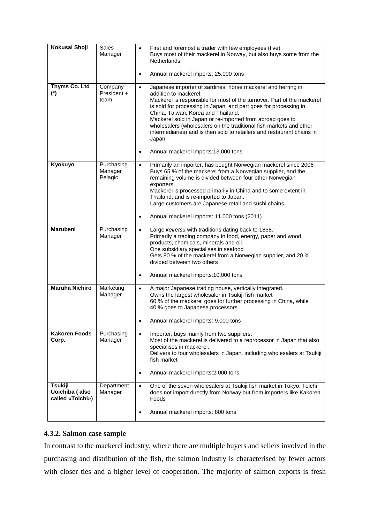| Kokusai Shoji                                 | Sales<br>Manager                 | First and foremost a trader with few employees (five)<br>$\bullet$<br>Buys most of their mackerel in Norway, but also buys some from the<br>Netherlands.<br>Annual mackerel imports: 25.000 tons<br>$\bullet$                                                                                                                                                                                                                                                                                                                                                     |
|-----------------------------------------------|----------------------------------|-------------------------------------------------------------------------------------------------------------------------------------------------------------------------------------------------------------------------------------------------------------------------------------------------------------------------------------------------------------------------------------------------------------------------------------------------------------------------------------------------------------------------------------------------------------------|
| Thyms Co. Ltd<br>$(*)$                        | Company<br>President +<br>team   | Japanese importer of sardines, horse mackerel and herring in<br>$\bullet$<br>addition to mackerel.<br>Mackerel is responsible for most of the turnover. Part of the mackerel<br>is sold for processing in Japan, and part goes for processing in<br>China, Taiwan, Korea and Thailand.<br>Mackerel sold in Japan or re-imported from abroad goes to<br>wholesalers (wholesalers on the traditional fish markets and other<br>intermediaries) and is then sold to retailers and restaurant chains in<br>Japan.<br>Annual mackerel imports:13.000 tons<br>$\bullet$ |
| Kyokuyo                                       | Purchasing<br>Manager<br>Pelagic | Primarily an importer, has bought Norwegian mackerel since 2006<br>$\bullet$<br>Buys 65 % of the mackerel from a Norwegian supplier, and the<br>remaining volume is divided between four other Norwegian<br>exporters.<br>Mackerel is processed primarily in China and to some extent in<br>Thailand, and is re-imported to Japan.<br>Large customers are Japanese retail and sushi chains.<br>Annual mackerel imports: 11.000 tons (2011)<br>$\bullet$                                                                                                           |
| <b>Marubeni</b>                               | Purchasing<br>Manager            | Large keiretsu with traditions dating back to 1858.<br>$\bullet$<br>Primarily a trading company in food, energy, paper and wood<br>products, chemicals, minerals and oil.<br>One subsidiary specialises in seafood<br>Gets 80 % of the mackerel from a Norwegian supplier, and 20 %<br>divided between two others<br>Annual mackerel imports:10.000 tons<br>$\bullet$                                                                                                                                                                                             |
| <b>Maruha Nichiro</b>                         | Marketing<br>Manager             | A major Japanese trading house, vertically integrated.<br>$\bullet$<br>Owns the largest wholesaler in Tsukiji fish market<br>60 % of the mackerel goes for further processing in China, while<br>40 % goes to Japanese processors.<br>Annual mackerel imports: 9.000 tons                                                                                                                                                                                                                                                                                         |
| <b>Kakoren Foods</b><br>Corp.                 | Purchasing<br>Manager            | Importer, buys mainly from two suppliers.<br>$\bullet$<br>Most of the mackerel is delivered to a reprocessor in Japan that also<br>specialises in mackerel.<br>Delivers to four wholesalers in Japan, including wholesalers at Tsukiji<br>fish market<br>Annual mackerel imports: 2.000 tons<br>$\bullet$                                                                                                                                                                                                                                                         |
| Tsukiji<br>Uoichiba (also<br>called «Toichi») | Department<br>Manager            | One of the seven wholesalers at Tsukiji fish market in Tokyo. Toichi<br>$\bullet$<br>does not import directly from Norway but from importers like Kakoren<br>Foods<br>Annual mackerel imports: 800 tons<br>٠                                                                                                                                                                                                                                                                                                                                                      |

# **4.3.2. Salmon case sample**

In contrast to the mackerel industry, where there are multiple buyers and sellers involved in the purchasing and distribution of the fish, the salmon industry is characterised by fewer actors with closer ties and a higher level of cooperation. The majority of salmon exports is fresh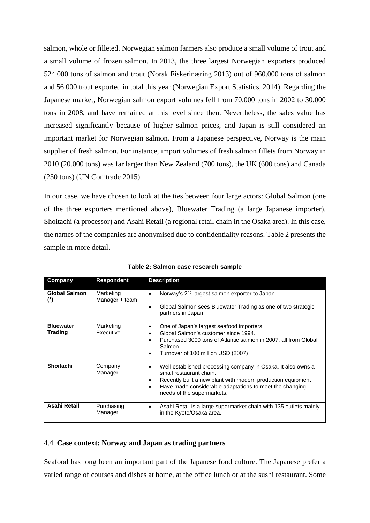salmon, whole or filleted. Norwegian salmon farmers also produce a small volume of trout and a small volume of frozen salmon. In 2013, the three largest Norwegian exporters produced 524.000 tons of salmon and trout [\(Norsk Fiskerinæring 2013\)](#page-34-12) out of 960.000 tons of salmon and 56.000 trout exported in total this year (Norwegian Export Statistics, 2014). Regarding the Japanese market, Norwegian salmon export volumes fell from 70.000 tons in 2002 to 30.000 tons in 2008, and have remained at this level since then. Nevertheless, the sales value has increased significantly because of higher salmon prices, and Japan is still considered an important market for Norwegian salmon. From a Japanese perspective, Norway is the main supplier of fresh salmon. For instance, import volumes of fresh salmon fillets from Norway in 2010 (20.000 tons) was far larger than New Zealand (700 tons), the UK (600 tons) and Canada (230 tons) [\(UN Comtrade 2015\)](#page-35-9).

In our case, we have chosen to look at the ties between four large actors: Global Salmon (one of the three exporters mentioned above), Bluewater Trading (a large Japanese importer), Shoitachi (a processor) and Asahi Retail (a regional retail chain in the Osaka area). In this case, the names of the companies are anonymised due to confidentiality reasons. Table 2 presents the sample in more detail.

| Company                     | Respondent                  | <b>Description</b>                                                                                                                                                                                                                                                     |
|-----------------------------|-----------------------------|------------------------------------------------------------------------------------------------------------------------------------------------------------------------------------------------------------------------------------------------------------------------|
| <b>Global Salmon</b><br>(*) | Marketing<br>Manager + team | Norway's 2 <sup>nd</sup> largest salmon exporter to Japan<br>$\bullet$<br>Global Salmon sees Bluewater Trading as one of two strategic<br>٠<br>partners in Japan                                                                                                       |
| <b>Bluewater</b><br>Trading | Marketing<br>Executive      | One of Japan's largest seafood importers.<br>٠<br>Global Salmon's customer since 1994.<br>Purchased 3000 tons of Atlantic salmon in 2007, all from Global<br>Salmon.<br>Turnover of 100 million USD (2007)<br>٠                                                        |
| <b>Shoitachi</b>            | Company<br>Manager          | Well-established processing company in Osaka. It also owns a<br>٠<br>small restaurant chain.<br>Recently built a new plant with modern production equipment<br>٠<br>Have made considerable adaptations to meet the changing<br>$\bullet$<br>needs of the supermarkets. |
| Asahi Retail                | Purchasing<br>Manager       | Asahi Retail is a large supermarket chain with 135 outlets mainly<br>٠<br>in the Kyoto/Osaka area.                                                                                                                                                                     |

**Table 2: Salmon case research sample**

# 4.4. **Case context: Norway and Japan as trading partners**

Seafood has long been an important part of the Japanese food culture. The Japanese prefer a varied range of courses and dishes at home, at the office lunch or at the sushi restaurant. Some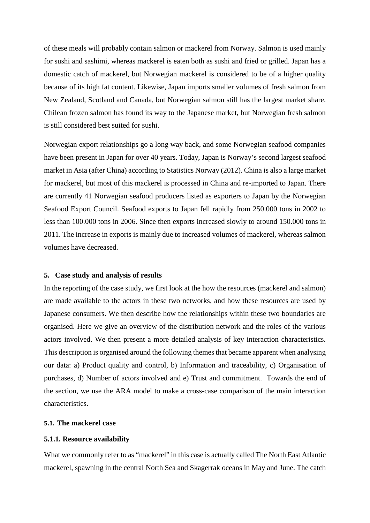of these meals will probably contain salmon or mackerel from Norway. Salmon is used mainly for sushi and sashimi, whereas mackerel is eaten both as sushi and fried or grilled. Japan has a domestic catch of mackerel, but Norwegian mackerel is considered to be of a higher quality because of its high fat content. Likewise, Japan imports smaller volumes of fresh salmon from New Zealand, Scotland and Canada, but Norwegian salmon still has the largest market share. Chilean frozen salmon has found its way to the Japanese market, but Norwegian fresh salmon is still considered best suited for sushi.

Norwegian export relationships go a long way back, and some Norwegian seafood companies have been present in Japan for over 40 years. Today, Japan is Norway's second largest seafood market in Asia (after China) according to Statistics Norway (2012). China is also a large market for mackerel, but most of this mackerel is processed in China and re-imported to Japan. There are currently 41 Norwegian seafood producers listed as exporters to Japan by the Norwegian Seafood Export Council. Seafood exports to Japan fell rapidly from 250.000 tons in 2002 to less than 100.000 tons in 2006. Since then exports increased slowly to around 150.000 tons in 2011. The increase in exports is mainly due to increased volumes of mackerel, whereas salmon volumes have decreased.

#### **5. Case study and analysis of results**

In the reporting of the case study, we first look at the how the resources (mackerel and salmon) are made available to the actors in these two networks, and how these resources are used by Japanese consumers. We then describe how the relationships within these two boundaries are organised. Here we give an overview of the distribution network and the roles of the various actors involved. We then present a more detailed analysis of key interaction characteristics. This description is organised around the following themes that became apparent when analysing our data: a) Product quality and control, b) Information and traceability, c) Organisation of purchases, d) Number of actors involved and e) Trust and commitment. Towards the end of the section, we use the ARA model to make a cross-case comparison of the main interaction characteristics.

#### **5.1. The mackerel case**

#### **5.1.1. Resource availability**

What we commonly refer to as "mackerel" in this case is actually called The North East Atlantic mackerel, spawning in the central North Sea and Skagerrak oceans in May and June. The catch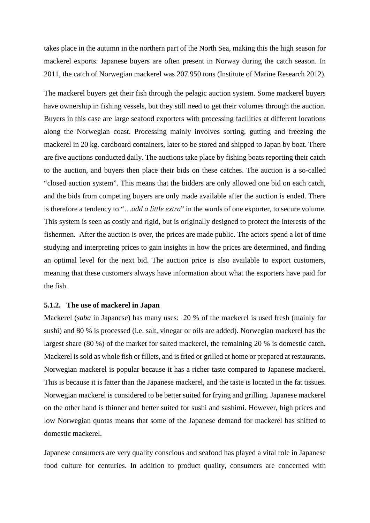takes place in the autumn in the northern part of the North Sea, making this the high season for mackerel exports. Japanese buyers are often present in Norway during the catch season. In 2011, the catch of Norwegian mackerel was 207.950 tons [\(Institute of Marine Research 2012\)](#page-34-13).

The mackerel buyers get their fish through the pelagic auction system. Some mackerel buyers have ownership in fishing vessels, but they still need to get their volumes through the auction. Buyers in this case are large seafood exporters with processing facilities at different locations along the Norwegian coast. Processing mainly involves sorting, gutting and freezing the mackerel in 20 kg. cardboard containers, later to be stored and shipped to Japan by boat. There are five auctions conducted daily. The auctions take place by fishing boats reporting their catch to the auction, and buyers then place their bids on these catches. The auction is a so-called "closed auction system". This means that the bidders are only allowed one bid on each catch, and the bids from competing buyers are only made available after the auction is ended. There is therefore a tendency to "…*add a little extra*" in the words of one exporter, to secure volume. This system is seen as costly and rigid, but is originally designed to protect the interests of the fishermen. After the auction is over, the prices are made public. The actors spend a lot of time studying and interpreting prices to gain insights in how the prices are determined, and finding an optimal level for the next bid. The auction price is also available to export customers, meaning that these customers always have information about what the exporters have paid for the fish.

#### **5.1.2. The use of mackerel in Japan**

Mackerel (*saba* in Japanese) has many uses: 20 % of the mackerel is used fresh (mainly for sushi) and 80 % is processed (i.e. salt, vinegar or oils are added). Norwegian mackerel has the largest share (80 %) of the market for salted mackerel, the remaining 20 % is domestic catch. Mackerel is sold as whole fish or fillets, and is fried or grilled at home or prepared at restaurants. Norwegian mackerel is popular because it has a richer taste compared to Japanese mackerel. This is because it is fatter than the Japanese mackerel, and the taste is located in the fat tissues. Norwegian mackerel is considered to be better suited for frying and grilling. Japanese mackerel on the other hand is thinner and better suited for sushi and sashimi. However, high prices and low Norwegian quotas means that some of the Japanese demand for mackerel has shifted to domestic mackerel.

Japanese consumers are very quality conscious and seafood has played a vital role in Japanese food culture for centuries. In addition to product quality, consumers are concerned with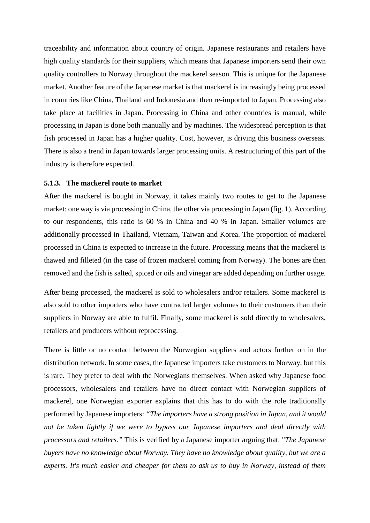traceability and information about country of origin. Japanese restaurants and retailers have high quality standards for their suppliers, which means that Japanese importers send their own quality controllers to Norway throughout the mackerel season. This is unique for the Japanese market. Another feature of the Japanese market is that mackerel is increasingly being processed in countries like China, Thailand and Indonesia and then re-imported to Japan. Processing also take place at facilities in Japan. Processing in China and other countries is manual, while processing in Japan is done both manually and by machines. The widespread perception is that fish processed in Japan has a higher quality. Cost, however, is driving this business overseas. There is also a trend in Japan towards larger processing units. A restructuring of this part of the industry is therefore expected.

#### **5.1.3. The mackerel route to market**

After the mackerel is bought in Norway, it takes mainly two routes to get to the Japanese market: one way is via processing in China, the other via processing in Japan (fig. 1). According to our respondents, this ratio is 60 % in China and 40 % in Japan. Smaller volumes are additionally processed in Thailand, Vietnam, Taiwan and Korea. The proportion of mackerel processed in China is expected to increase in the future. Processing means that the mackerel is thawed and filleted (in the case of frozen mackerel coming from Norway). The bones are then removed and the fish is salted, spiced or oils and vinegar are added depending on further usage.

After being processed, the mackerel is sold to wholesalers and/or retailers. Some mackerel is also sold to other importers who have contracted larger volumes to their customers than their suppliers in Norway are able to fulfil. Finally, some mackerel is sold directly to wholesalers, retailers and producers without reprocessing.

There is little or no contact between the Norwegian suppliers and actors further on in the distribution network. In some cases, the Japanese importers take customers to Norway, but this is rare. They prefer to deal with the Norwegians themselves. When asked why Japanese food processors, wholesalers and retailers have no direct contact with Norwegian suppliers of mackerel, one Norwegian exporter explains that this has to do with the role traditionally performed by Japanese importers: *"The importers have a strong position in Japan, and it would not be taken lightly if we were to bypass our Japanese importers and deal directly with processors and retailers."* This is verified by a Japanese importer arguing that: "*The Japanese buyers have no knowledge about Norway. They have no knowledge about quality, but we are a experts. It's much easier and cheaper for them to ask us to buy in Norway, instead of them*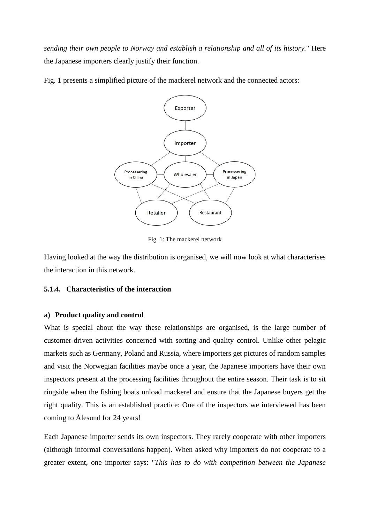*sending their own people to Norway and establish a relationship and all of its history.*" Here the Japanese importers clearly justify their function.

Fig. 1 presents a simplified picture of the mackerel network and the connected actors:



Fig. 1: The mackerel network

Having looked at the way the distribution is organised, we will now look at what characterises the interaction in this network.

# **5.1.4. Characteristics of the interaction**

#### **a) Product quality and control**

What is special about the way these relationships are organised, is the large number of customer-driven activities concerned with sorting and quality control. Unlike other pelagic markets such as Germany, Poland and Russia, where importers get pictures of random samples and visit the Norwegian facilities maybe once a year, the Japanese importers have their own inspectors present at the processing facilities throughout the entire season. Their task is to sit ringside when the fishing boats unload mackerel and ensure that the Japanese buyers get the right quality. This is an established practice: One of the inspectors we interviewed has been coming to Ålesund for 24 years!

Each Japanese importer sends its own inspectors. They rarely cooperate with other importers (although informal conversations happen). When asked why importers do not cooperate to a greater extent, one importer says: "*This has to do with competition between the Japanese*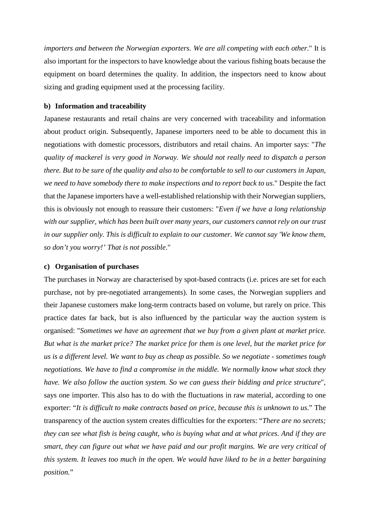*importers and between the Norwegian exporters. We are all competing with each other.*" It is also important for the inspectors to have knowledge about the various fishing boats because the equipment on board determines the quality. In addition, the inspectors need to know about sizing and grading equipment used at the processing facility.

# **b) Information and traceability**

Japanese restaurants and retail chains are very concerned with traceability and information about product origin. Subsequently, Japanese importers need to be able to document this in negotiations with domestic processors, distributors and retail chains. An importer says: "*The quality of mackerel is very good in Norway. We should not really need to dispatch a person there. But to be sure of the quality and also to be comfortable to sell to our customers in Japan, we need to have somebody there to make inspections and to report back to us*." Despite the fact that the Japanese importers have a well-established relationship with their Norwegian suppliers, this is obviously not enough to reassure their customers: "*Even if we have a long relationship with our supplier, which has been built over many years, our customers cannot rely on our trust in our supplier only. This is difficult to explain to our customer. We cannot say 'We know them, so don't you worry!' That is not possible*."

#### **c) Organisation of purchases**

The purchases in Norway are characterised by spot-based contracts (i.e. prices are set for each purchase, not by pre-negotiated arrangements). In some cases, the Norwegian suppliers and their Japanese customers make long-term contracts based on volume, but rarely on price. This practice dates far back, but is also influenced by the particular way the auction system is organised: "*Sometimes we have an agreement that we buy from a given plant at market price. But what is the market price? The market price for them is one level, but the market price for us is a different level. We want to buy as cheap as possible. So we negotiate - sometimes tough negotiations. We have to find a compromise in the middle. We normally know what stock they have. We also follow the auction system. So we can guess their bidding and price structure*", says one importer. This also has to do with the fluctuations in raw material, according to one exporter: "*It is difficult to make contracts based on price, because this is unknown to us*." The transparency of the auction system creates difficulties for the exporters: "*There are no secrets; they can see what fish is being caught, who is buying what and at what prices. And if they are smart, they can figure out what we have paid and our profit margins. We are very critical of this system. It leaves too much in the open. We would have liked to be in a better bargaining position.*"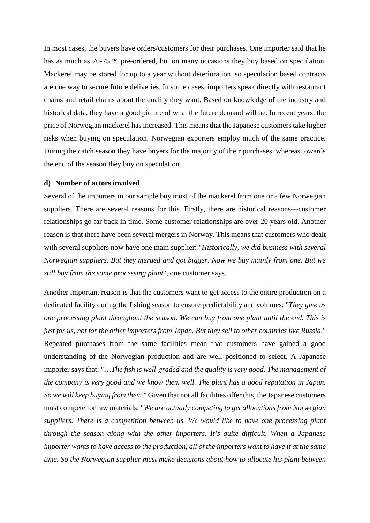In most cases, the buyers have orders/customers for their purchases. One importer said that he has as much as 70-75 % pre-ordered, but on many occasions they buy based on speculation. Mackerel may be stored for up to a year without deterioration, so speculation based contracts are one way to secure future deliveries. In some cases, importers speak directly with restaurant chains and retail chains about the quality they want. Based on knowledge of the industry and historical data, they have a good picture of what the future demand will be. In recent years, the price of Norwegian mackerel has increased. This means that the Japanese customers take higher risks when buying on speculation. Norwegian exporters employ much of the same practice. During the catch season they have buyers for the majority of their purchases, whereas towards the end of the season they buy on speculation.

#### **d) Number of actors involved**

Several of the importers in our sample buy most of the mackerel from one or a few Norwegian suppliers. There are several reasons for this. Firstly, there are historical reasons—customer relationships go far back in time. Some customer relationships are over 20 years old. Another reason is that there have been several mergers in Norway. This means that customers who dealt with several suppliers now have one main supplier: "*Historically, we did business with several Norwegian suppliers. But they merged and got bigger. Now we buy mainly from one. But we still buy from the same processing plant*", one customer says.

Another important reason is that the customers want to get access to the entire production on a dedicated facility during the fishing season to ensure predictability and volumes: "*They give us one processing plant throughout the season. We can buy from one plant until the end. This is just for us, not for the other importers from Japan. But they sell to other countries like Russia*." Repeated purchases from the same facilities mean that customers have gained a good understanding of the Norwegian production and are well positioned to select. A Japanese importer says that: "…*The fish is well-graded and the quality is very good. The management of the company is very good and we know them well. The plant has a good reputation in Japan. So we will keep buying from them*." Given that not all facilities offer this, the Japanese customers must compete for raw materials: "*We are actually competing to get allocations from Norwegian suppliers. There is a competition between us. We would like to have one processing plant through the season along with the other importers. It's quite difficult. When a Japanese importer wants to have access to the production, all of the importers want to have it at the same time. So the Norwegian supplier must make decisions about how to allocate his plant between*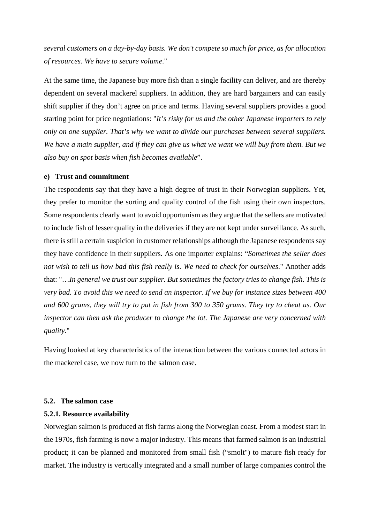*several customers on a day-by-day basis. We don't compete so much for price, as for allocation of resources. We have to secure volume*."

At the same time, the Japanese buy more fish than a single facility can deliver, and are thereby dependent on several mackerel suppliers. In addition, they are hard bargainers and can easily shift supplier if they don't agree on price and terms. Having several suppliers provides a good starting point for price negotiations: "*It's risky for us and the other Japanese importers to rely only on one supplier. That's why we want to divide our purchases between several suppliers. We have a main supplier, and if they can give us what we want we will buy from them. But we also buy on spot basis when fish becomes available*".

#### **e) Trust and commitment**

The respondents say that they have a high degree of trust in their Norwegian suppliers. Yet, they prefer to monitor the sorting and quality control of the fish using their own inspectors. Some respondents clearly want to avoid opportunism as they argue that the sellers are motivated to include fish of lesser quality in the deliveries if they are not kept under surveillance. As such, there is still a certain suspicion in customer relationships although the Japanese respondents say they have confidence in their suppliers. As one importer explains: "*Sometimes the seller does not wish to tell us how bad this fish really is. We need to check for ourselves*." Another adds that: "…*In general we trust our supplier. But sometimes the factory tries to change fish. This is very bad. To avoid this we need to send an inspector. If we buy for instance sizes between 400 and 600 grams, they will try to put in fish from 300 to 350 grams. They try to cheat us. Our inspector can then ask the producer to change the lot. The Japanese are very concerned with quality.*"

Having looked at key characteristics of the interaction between the various connected actors in the mackerel case, we now turn to the salmon case.

#### **5.2. The salmon case**

#### **5.2.1. Resource availability**

Norwegian salmon is produced at fish farms along the Norwegian coast. From a modest start in the 1970s, fish farming is now a major industry. This means that farmed salmon is an industrial product; it can be planned and monitored from small fish ("smolt") to mature fish ready for market. The industry is vertically integrated and a small number of large companies control the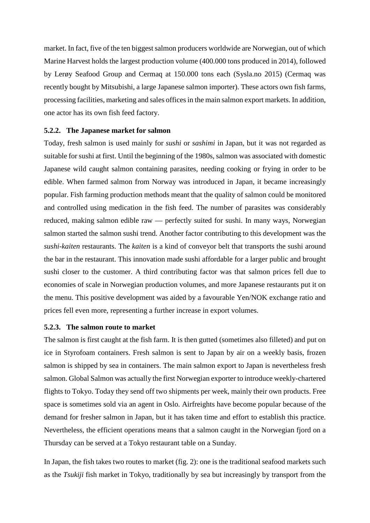market. In fact, five of the ten biggest salmon producers worldwide are Norwegian, out of which Marine Harvest holds the largest production volume (400.000 tons produced in 2014), followed by Lerøy Seafood Group and Cermaq at 150.000 tons each [\(Sysla.no 2015\)](#page-35-10) (Cermaq was recently bought by Mitsubishi, a large Japanese salmon importer). These actors own fish farms, processing facilities, marketing and sales offices in the main salmon export markets. In addition, one actor has its own fish feed factory.

# **5.2.2. The Japanese market for salmon**

Today, fresh salmon is used mainly for *sushi* or *sashimi* in Japan*,* but it was not regarded as suitable for sushi at first. Until the beginning of the 1980s, salmon was associated with domestic Japanese wild caught salmon containing parasites, needing cooking or frying in order to be edible. When farmed salmon from Norway was introduced in Japan, it became increasingly popular. Fish farming production methods meant that the quality of salmon could be monitored and controlled using medication in the fish feed. The number of parasites was considerably reduced, making salmon edible raw — perfectly suited for sushi. In many ways, Norwegian salmon started the salmon sushi trend. Another factor contributing to this development was the *sushi-kaiten* restaurants. The *kaiten* is a kind of conveyor belt that transports the sushi around the bar in the restaurant. This innovation made sushi affordable for a larger public and brought sushi closer to the customer. A third contributing factor was that salmon prices fell due to economies of scale in Norwegian production volumes, and more Japanese restaurants put it on the menu. This positive development was aided by a favourable Yen/NOK exchange ratio and prices fell even more, representing a further increase in export volumes.

# **5.2.3. The salmon route to market**

The salmon is first caught at the fish farm. It is then gutted (sometimes also filleted) and put on ice in Styrofoam containers. Fresh salmon is sent to Japan by air on a weekly basis, frozen salmon is shipped by sea in containers. The main salmon export to Japan is nevertheless fresh salmon. Global Salmon was actually the first Norwegian exporter to introduce weekly-chartered flights to Tokyo. Today they send off two shipments per week, mainly their own products. Free space is sometimes sold via an agent in Oslo. Airfreights have become popular because of the demand for fresher salmon in Japan, but it has taken time and effort to establish this practice. Nevertheless, the efficient operations means that a salmon caught in the Norwegian fjord on a Thursday can be served at a Tokyo restaurant table on a Sunday.

In Japan, the fish takes two routes to market (fig. 2): one is the traditional seafood markets such as the *Tsukiji* fish market in Tokyo, traditionally by sea but increasingly by transport from the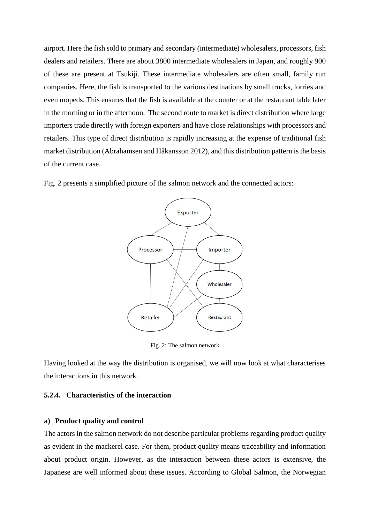airport. Here the fish sold to primary and secondary (intermediate) wholesalers, processors, fish dealers and retailers. There are about 3800 intermediate wholesalers in Japan, and roughly 900 of these are present at Tsukiji. These intermediate wholesalers are often small, family run companies. Here, the fish is transported to the various destinations by small trucks, lorries and even mopeds. This ensures that the fish is available at the counter or at the restaurant table later in the morning or in the afternoon. The second route to market is direct distribution where large importers trade directly with foreign exporters and have close relationships with processors and retailers. This type of direct distribution is rapidly increasing at the expense of traditional fish market distribution [\(Abrahamsen and Håkansson 2012\)](#page-32-12), and this distribution pattern is the basis of the current case.

Fig. 2 presents a simplified picture of the salmon network and the connected actors:



Fig. 2: The salmon network

Having looked at the way the distribution is organised, we will now look at what characterises the interactions in this network.

#### **5.2.4. Characteristics of the interaction**

#### **a) Product quality and control**

The actors in the salmon network do not describe particular problems regarding product quality as evident in the mackerel case. For them, product quality means traceability and information about product origin. However, as the interaction between these actors is extensive, the Japanese are well informed about these issues. According to Global Salmon, the Norwegian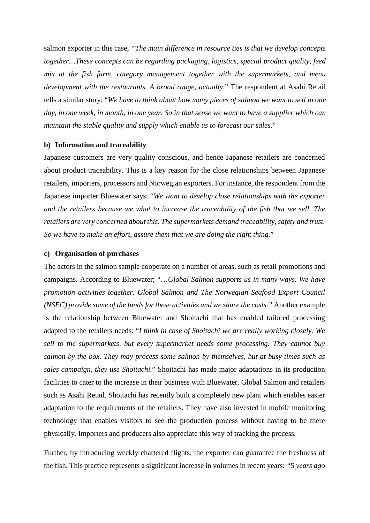salmon exporter in this case, *"The main difference in resource ties is that we develop concepts together…These concepts can be regarding packaging, logistics, special product quality, feed mix at the fish farm, category management together with the supermarkets, and menu development with the restaurants. A broad range, actually*." The respondent at Asahi Retail tells a similar story: "*We have to think about how many pieces of salmon we want to sell in one day, in one week, in month, in one year. So in that sense we want to have a supplier which can maintain the stable quality and supply which enable us to forecast our sales*."

#### **b) Information and traceability**

Japanese customers are very quality conscious, and hence Japanese retailers are concerned about product traceability. This is a key reason for the close relationships between Japanese retailers, importers, processors and Norwegian exporters. For instance, the respondent from the Japanese importer Bluewater says: "*We want to develop close relationships with the exporter and the retailers because we what to increase the traceability of the fish that we sell. The retailers are very concerned about this. The supermarkets demand traceability, safety and trust. So we have to make an effort, assure them that we are doing the right thing.*"

#### **c) Organisation of purchases**

The actors in the salmon sample cooperate on a number of areas, such as retail promotions and campaigns. According to Bluewater; "…*Global Salmon supports us in many ways. We have promotion activities together. Global Salmon and The Norwegian Seafood Export Council (NSEC) provide some of the funds for these activities and we share the costs."* Another example is the relationship between Bluewater and Shoitachi that has enabled tailored processing adapted to the retailers needs: "*I think in case of Shoitachi we are really working closely. We sell to the supermarkets, but every supermarket needs some processing. They cannot buy salmon by the box. They may process some salmon by themselves, but at busy times such as sales campaign, they use Shoitachi.*" Shoitachi has made major adaptations in its production facilities to cater to the increase in their business with Bluewater, Global Salmon and retailers such as Asahi Retail. Shoitachi has recently built a completely new plant which enables easier adaptation to the requirements of the retailers. They have also invested in mobile monitoring technology that enables visitors to see the production process without having to be there physically. Importers and producers also appreciate this way of tracking the process.

Further, by introducing weekly chartered flights, the exporter can guarantee the freshness of the fish. This practice represents a significant increase in volumes in recent years: *"*5 *years ago*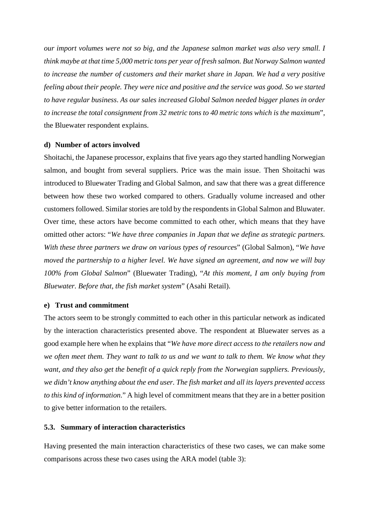*our import volumes were not so big, and the Japanese salmon market was also very small. I think maybe at that time 5,000 metric tons per year of fresh salmon. But Norway Salmon wanted to increase the number of customers and their market share in Japan. We had a very positive feeling about their people. They were nice and positive and the service was good. So we started to have regular business*. *As our sales increased Global Salmon needed bigger planes in order to increase the total consignment from 32 metric tons to 40 metric tons which is the maximum*", the Bluewater respondent explains.

# **d) Number of actors involved**

Shoitachi, the Japanese processor, explains that five years ago they started handling Norwegian salmon, and bought from several suppliers. Price was the main issue. Then Shoitachi was introduced to Bluewater Trading and Global Salmon, and saw that there was a great difference between how these two worked compared to others. Gradually volume increased and other customers followed. Similar stories are told by the respondents in Global Salmon and Bluwater. Over time, these actors have become committed to each other, which means that they have omitted other actors: "*We have three companies in Japan that we define as strategic partners. With these three partners we draw on various types of resource*s" (Global Salmon), "*We have moved the partnership to a higher level. We have signed an agreement, and now we will buy 100% from Global Salmon*" (Bluewater Trading), "*At this moment, I am only buying from Bluewater. Before that, the fish market system*" (Asahi Retail).

#### **e) Trust and commitment**

The actors seem to be strongly committed to each other in this particular network as indicated by the interaction characteristics presented above. The respondent at Bluewater serves as a good example here when he explains that "*We have more direct access to the retailers now and we often meet them. They want to talk to us and we want to talk to them. We know what they want, and they also get the benefit of a quick reply from the Norwegian suppliers. Previously, we didn't know anything about the end user. The fish market and all its layers prevented access to this kind of information*." A high level of commitment means that they are in a better position to give better information to the retailers.

#### **5.3. Summary of interaction characteristics**

Having presented the main interaction characteristics of these two cases, we can make some comparisons across these two cases using the ARA model (table 3):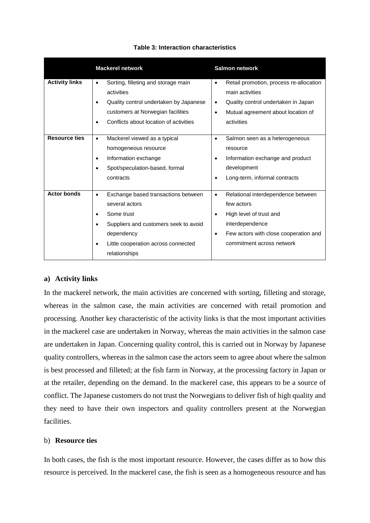|                       | <b>Mackerel network</b>                                                                                                                                                                                           | Salmon network                                                                                                                                                                                              |
|-----------------------|-------------------------------------------------------------------------------------------------------------------------------------------------------------------------------------------------------------------|-------------------------------------------------------------------------------------------------------------------------------------------------------------------------------------------------------------|
| <b>Activity links</b> | Sorting, filleting and storage main<br>$\bullet$<br>activities<br>Quality control undertaken by Japanese<br>$\bullet$<br>customers at Norwegian facilities<br>Conflicts about location of activities              | Retail promotion, process re-allocation<br>$\bullet$<br>main activities<br>Quality control undertaken in Japan<br>$\bullet$<br>Mutual agreement about location of<br>$\bullet$<br>activities                |
| <b>Resource ties</b>  | Mackerel viewed as a typical<br>$\bullet$<br>homogeneous resource<br>Information exchange<br>٠<br>Spot/speculation-based, formal<br>contracts                                                                     | Salmon seen as a heterogeneous<br>$\bullet$<br>resource<br>Information exchange and product<br>$\bullet$<br>development<br>Long-term, informal contracts<br>$\bullet$                                       |
| <b>Actor bonds</b>    | Exchange based transactions between<br>$\bullet$<br>several actors<br>Some trust<br>٠<br>Suppliers and customers seek to avoid<br>$\bullet$<br>dependency<br>Little cooperation across connected<br>relationships | Relational interdependence between<br>$\bullet$<br>few actors<br>High level of trust and<br>$\bullet$<br>interdependence<br>Few actors with close cooperation and<br>$\bullet$<br>commitment across network |

# **Table 3: Interaction characteristics**

# **a) Activity links**

In the mackerel network, the main activities are concerned with sorting, filleting and storage, whereas in the salmon case, the main activities are concerned with retail promotion and processing. Another key characteristic of the activity links is that the most important activities in the mackerel case are undertaken in Norway, whereas the main activities in the salmon case are undertaken in Japan. Concerning quality control, this is carried out in Norway by Japanese quality controllers, whereas in the salmon case the actors seem to agree about where the salmon is best processed and filleted; at the fish farm in Norway, at the processing factory in Japan or at the retailer, depending on the demand. In the mackerel case, this appears to be a source of conflict. The Japanese customers do not trust the Norwegians to deliver fish of high quality and they need to have their own inspectors and quality controllers present at the Norwegian facilities.

# b) **Resource ties**

In both cases, the fish is the most important resource. However, the cases differ as to how this resource is perceived. In the mackerel case, the fish is seen as a homogeneous resource and has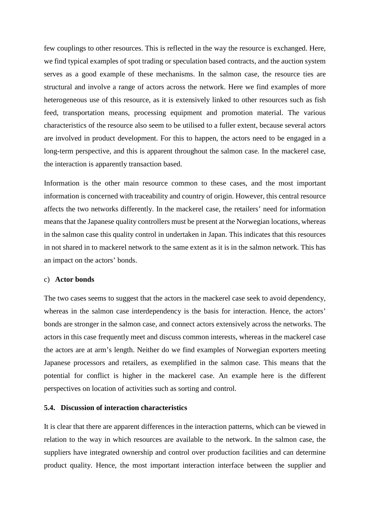few couplings to other resources. This is reflected in the way the resource is exchanged. Here, we find typical examples of spot trading or speculation based contracts, and the auction system serves as a good example of these mechanisms. In the salmon case, the resource ties are structural and involve a range of actors across the network. Here we find examples of more heterogeneous use of this resource, as it is extensively linked to other resources such as fish feed, transportation means, processing equipment and promotion material. The various characteristics of the resource also seem to be utilised to a fuller extent, because several actors are involved in product development. For this to happen, the actors need to be engaged in a long-term perspective, and this is apparent throughout the salmon case. In the mackerel case, the interaction is apparently transaction based.

Information is the other main resource common to these cases, and the most important information is concerned with traceability and country of origin. However, this central resource affects the two networks differently. In the mackerel case, the retailers' need for information means that the Japanese quality controllers must be present at the Norwegian locations, whereas in the salmon case this quality control in undertaken in Japan. This indicates that this resources in not shared in to mackerel network to the same extent as it is in the salmon network. This has an impact on the actors' bonds.

#### c) **Actor bonds**

The two cases seems to suggest that the actors in the mackerel case seek to avoid dependency, whereas in the salmon case interdependency is the basis for interaction. Hence, the actors' bonds are stronger in the salmon case, and connect actors extensively across the networks. The actors in this case frequently meet and discuss common interests, whereas in the mackerel case the actors are at arm's length. Neither do we find examples of Norwegian exporters meeting Japanese processors and retailers, as exemplified in the salmon case. This means that the potential for conflict is higher in the mackerel case. An example here is the different perspectives on location of activities such as sorting and control.

# **5.4. Discussion of interaction characteristics**

It is clear that there are apparent differences in the interaction patterns, which can be viewed in relation to the way in which resources are available to the network. In the salmon case, the suppliers have integrated ownership and control over production facilities and can determine product quality. Hence, the most important interaction interface between the supplier and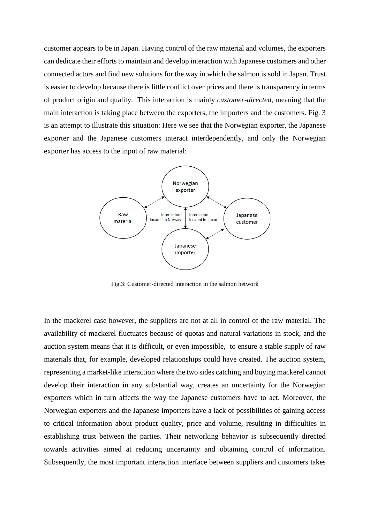customer appears to be in Japan. Having control of the raw material and volumes, the exporters can dedicate their efforts to maintain and develop interaction with Japanese customers and other connected actors and find new solutions for the way in which the salmon is sold in Japan. Trust is easier to develop because there is little conflict over prices and there is transparency in terms of product origin and quality. This interaction is mainly *customer-directed,* meaning that the main interaction is taking place between the exporters, the importers and the customers. Fig. 3 is an attempt to illustrate this situation: Here we see that the Norwegian exporter, the Japanese exporter and the Japanese customers interact interdependently, and only the Norwegian exporter has access to the input of raw material:



Fig.3: Customer-directed interaction in the salmon network

In the mackerel case however, the suppliers are not at all in control of the raw material. The availability of mackerel fluctuates because of quotas and natural variations in stock, and the auction system means that it is difficult, or even impossible, to ensure a stable supply of raw materials that, for example, developed relationships could have created. The auction system, representing a market-like interaction where the two sides catching and buying mackerel cannot develop their interaction in any substantial way, creates an uncertainty for the Norwegian exporters which in turn affects the way the Japanese customers have to act. Moreover, the Norwegian exporters and the Japanese importers have a lack of possibilities of gaining access to critical information about product quality, price and volume, resulting in difficulties in establishing trust between the parties. Their networking behavior is subsequently directed towards activities aimed at reducing uncertainty and obtaining control of information. Subsequently, the most important interaction interface between suppliers and customers takes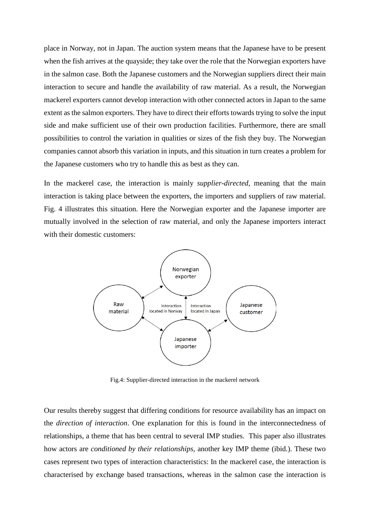place in Norway, not in Japan. The auction system means that the Japanese have to be present when the fish arrives at the quayside; they take over the role that the Norwegian exporters have in the salmon case. Both the Japanese customers and the Norwegian suppliers direct their main interaction to secure and handle the availability of raw material. As a result, the Norwegian mackerel exporters cannot develop interaction with other connected actors in Japan to the same extent as the salmon exporters. They have to direct their efforts towards trying to solve the input side and make sufficient use of their own production facilities. Furthermore, there are small possibilities to control the variation in qualities or sizes of the fish they buy. The Norwegian companies cannot absorb this variation in inputs, and this situation in turn creates a problem for the Japanese customers who try to handle this as best as they can.

In the mackerel case, the interaction is mainly *supplier-directed,* meaning that the main interaction is taking place between the exporters, the importers and suppliers of raw material. Fig. 4 illustrates this situation. Here the Norwegian exporter and the Japanese importer are mutually involved in the selection of raw material, and only the Japanese importers interact with their domestic customers:



Fig.4: Supplier-directed interaction in the mackerel network

Our results thereby suggest that differing conditions for resource availability has an impact on the *direction of interaction*. One explanation for this is found in the interconnectedness of relationships, a theme that has been central to several IMP studies. This paper also illustrates how actors are *conditioned by their relationships*, another key IMP theme (ibid.). These two cases represent two types of interaction characteristics: In the mackerel case, the interaction is characterised by exchange based transactions, whereas in the salmon case the interaction is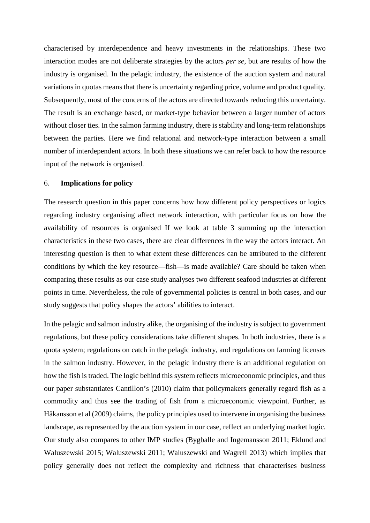characterised by interdependence and heavy investments in the relationships. These two interaction modes are not deliberate strategies by the actors *per se*, but are results of how the industry is organised. In the pelagic industry, the existence of the auction system and natural variations in quotas means that there is uncertainty regarding price, volume and product quality. Subsequently, most of the concerns of the actors are directed towards reducing this uncertainty. The result is an exchange based, or market-type behavior between a larger number of actors without closer ties. In the salmon farming industry, there is stability and long-term relationships between the parties. Here we find relational and network-type interaction between a small number of interdependent actors. In both these situations we can refer back to how the resource input of the network is organised.

#### 6. **Implications for policy**

The research question in this paper concerns how how different policy perspectives or logics regarding industry organising affect network interaction, with particular focus on how the availability of resources is organised If we look at table 3 summing up the interaction characteristics in these two cases, there are clear differences in the way the actors interact. An interesting question is then to what extent these differences can be attributed to the different conditions by which the key resource—fish—is made available? Care should be taken when comparing these results as our case study analyses two different seafood industries at different points in time. Nevertheless, the role of governmental policies is central in both cases, and our study suggests that policy shapes the actors' abilities to interact.

In the pelagic and salmon industry alike, the organising of the industry is subject to government regulations, but these policy considerations take different shapes. In both industries, there is a quota system; regulations on catch in the pelagic industry, and regulations on farming licenses in the salmon industry. However, in the pelagic industry there is an additional regulation on how the fish is traded. The logic behind this system reflects microeconomic principles, and thus our paper substantiates Cantillon's (2010) claim that policymakers generally regard fish as a commodity and thus see the trading of fish from a microeconomic viewpoint. Further, as Håkansson et al (2009) claims, the policy principles used to intervene in organising the business landscape, as represented by the auction system in our case, reflect an underlying market logic. Our study also compares to other IMP studies [\(Bygballe and Ingemansson 2011;](#page-32-1) [Eklund and](#page-33-1)  [Waluszewski 2015;](#page-33-1) [Waluszewski 2011;](#page-35-5) [Waluszewski and Wagrell 2013\)](#page-35-6) which implies that policy generally does not reflect the complexity and richness that characterises business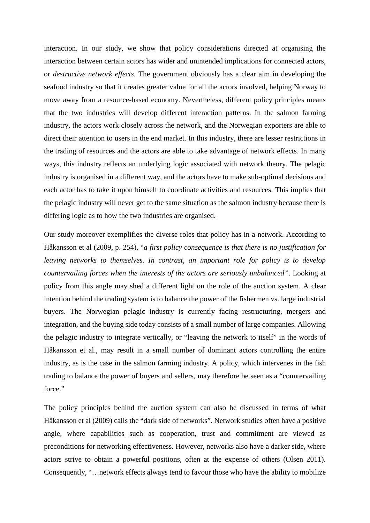interaction. In our study, we show that policy considerations directed at organising the interaction between certain actors has wider and unintended implications for connected actors, or *destructive network effects*. The government obviously has a clear aim in developing the seafood industry so that it creates greater value for all the actors involved, helping Norway to move away from a resource-based economy. Nevertheless, different policy principles means that the two industries will develop different interaction patterns. In the salmon farming industry, the actors work closely across the network, and the Norwegian exporters are able to direct their attention to users in the end market. In this industry, there are lesser restrictions in the trading of resources and the actors are able to take advantage of network effects. In many ways, this industry reflects an underlying logic associated with network theory. The pelagic industry is organised in a different way, and the actors have to make sub-optimal decisions and each actor has to take it upon himself to coordinate activities and resources. This implies that the pelagic industry will never get to the same situation as the salmon industry because there is differing logic as to how the two industries are organised.

Our study moreover exemplifies the diverse roles that policy has in a network. According to Håkansson et al (2009, p. 254), "*a first policy consequence is that there is no justification for leaving networks to themselves. In contrast, an important role for policy is to develop countervailing forces when the interests of the actors are seriously unbalanced"*. Looking at policy from this angle may shed a different light on the role of the auction system. A clear intention behind the trading system is to balance the power of the fishermen vs. large industrial buyers. The Norwegian pelagic industry is currently facing restructuring, mergers and integration, and the buying side today consists of a small number of large companies. Allowing the pelagic industry to integrate vertically, or "leaving the network to itself" in the words of Håkansson et al., may result in a small number of dominant actors controlling the entire industry, as is the case in the salmon farming industry. A policy, which intervenes in the fish trading to balance the power of buyers and sellers, may therefore be seen as a "countervailing force."

The policy principles behind the auction system can also be discussed in terms of what Håkansson et al (2009) calls the "dark side of networks". Network studies often have a positive angle, where capabilities such as cooperation, trust and commitment are viewed as preconditions for networking effectiveness. However, networks also have a darker side, where actors strive to obtain a powerful positions, often at the expense of others [\(Olsen 2011\)](#page-34-14). Consequently, "…network effects always tend to favour those who have the ability to mobilize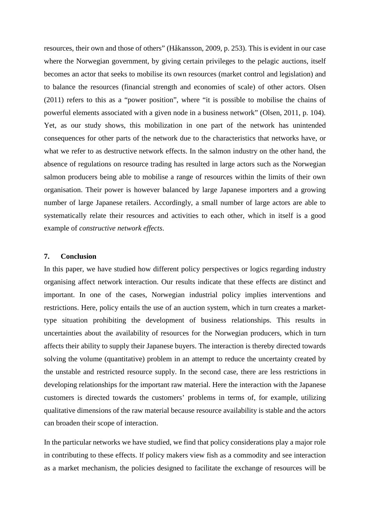resources, their own and those of others" (Håkansson, 2009, p. 253). This is evident in our case where the Norwegian government, by giving certain privileges to the pelagic auctions, itself becomes an actor that seeks to mobilise its own resources (market control and legislation) and to balance the resources (financial strength and economies of scale) of other actors. Olsen (2011) refers to this as a "power position", where "it is possible to mobilise the chains of powerful elements associated with a given node in a business network" (Olsen, 2011, p. 104). Yet, as our study shows, this mobilization in one part of the network has unintended consequences for other parts of the network due to the characteristics that networks have, or what we refer to as destructive network effects. In the salmon industry on the other hand, the absence of regulations on resource trading has resulted in large actors such as the Norwegian salmon producers being able to mobilise a range of resources within the limits of their own organisation. Their power is however balanced by large Japanese importers and a growing number of large Japanese retailers. Accordingly, a small number of large actors are able to systematically relate their resources and activities to each other, which in itself is a good example of *constructive network effects*.

#### **7. Conclusion**

In this paper, we have studied how different policy perspectives or logics regarding industry organising affect network interaction. Our results indicate that these effects are distinct and important. In one of the cases, Norwegian industrial policy implies interventions and restrictions. Here, policy entails the use of an auction system, which in turn creates a markettype situation prohibiting the development of business relationships. This results in uncertainties about the availability of resources for the Norwegian producers, which in turn affects their ability to supply their Japanese buyers. The interaction is thereby directed towards solving the volume (quantitative) problem in an attempt to reduce the uncertainty created by the unstable and restricted resource supply. In the second case, there are less restrictions in developing relationships for the important raw material. Here the interaction with the Japanese customers is directed towards the customers' problems in terms of, for example, utilizing qualitative dimensions of the raw material because resource availability is stable and the actors can broaden their scope of interaction.

In the particular networks we have studied, we find that policy considerations play a major role in contributing to these effects. If policy makers view fish as a commodity and see interaction as a market mechanism, the policies designed to facilitate the exchange of resources will be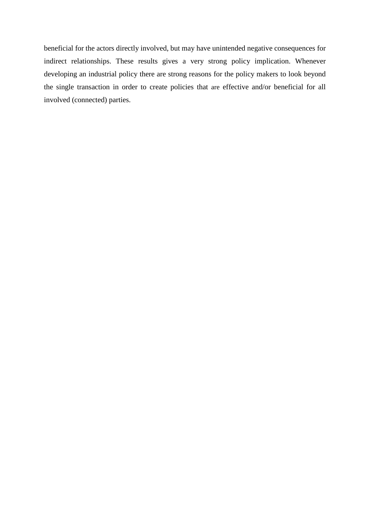beneficial for the actors directly involved, but may have unintended negative consequences for indirect relationships. These results gives a very strong policy implication. Whenever developing an industrial policy there are strong reasons for the policy makers to look beyond the single transaction in order to create policies that are effective and/or beneficial for all involved (connected) parties.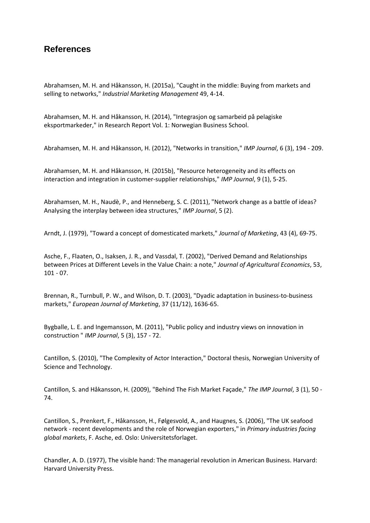# **References**

<span id="page-32-4"></span>Abrahamsen, M. H. and Håkansson, H. (2015a), "Caught in the middle: Buying from markets and selling to networks," *Industrial Marketing Management* 49, 4-14.

<span id="page-32-11"></span>Abrahamsen, M. H. and Håkansson, H. (2014), "Integrasjon og samarbeid på pelagiske eksportmarkeder," in Research Report Vol. 1: Norwegian Business School.

<span id="page-32-12"></span>Abrahamsen, M. H. and Håkansson, H. (2012), "Networks in transition," *IMP Journal*, 6 (3), 194 - 209.

<span id="page-32-6"></span>Abrahamsen, M. H. and Håkansson, H. (2015b), "Resource heterogeneity and its effects on interaction and integration in customer-supplier relationships," *IMP Journal*, 9 (1), 5-25.

<span id="page-32-10"></span>Abrahamsen, M. H., Naudè, P., and Henneberg, S. C. (2011), "Network change as a battle of ideas? Analysing the interplay between idea structures," *IMP Journal*, 5 (2).

<span id="page-32-5"></span>Arndt, J. (1979), "Toward a concept of domesticated markets," *Journal of Marketing*, 43 (4), 69-75.

<span id="page-32-3"></span>Asche, F., Flaaten, O., Isaksen, J. R., and Vassdal, T. (2002), "Derived Demand and Relationships between Prices at Different Levels in the Value Chain: a note," *Journal of Agricultural Economics*, 53, 101 - 07.

<span id="page-32-9"></span>Brennan, R., Turnbull, P. W., and Wilson, D. T. (2003), "Dyadic adaptation in business-to-business markets," *European Journal of Marketing*, 37 (11/12), 1636-65.

<span id="page-32-1"></span>Bygballe, L. E. and Ingemansson, M. (2011), "Public policy and industry views on innovation in construction " *IMP Journal*, 5 (3), 157 - 72.

<span id="page-32-2"></span>Cantillon, S. (2010), "The Complexity of Actor Interaction," Doctoral thesis, Norwegian University of Science and Technology.

<span id="page-32-7"></span>Cantillon, S. and Håkansson, H. (2009), "Behind The Fish Market Façade," *The IMP Journal*, 3 (1), 50 - 74.

<span id="page-32-8"></span>Cantillon, S., Prenkert, F., Håkansson, H., Følgesvold, A., and Haugnes, S. (2006), "The UK seafood network - recent developments and the role of Norwegian exporters," in *Primary industries facing global markets*, F. Asche, ed. Oslo: Universitetsforlaget.

<span id="page-32-0"></span>Chandler, A. D. (1977), The visible hand: The managerial revolution in American Business. Harvard: Harvard University Press.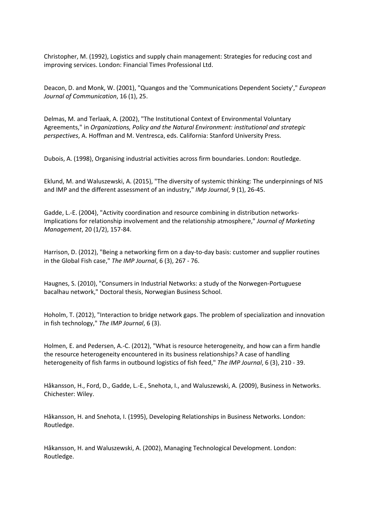<span id="page-33-0"></span>Christopher, M. (1992), Logistics and supply chain management: Strategies for reducing cost and improving services. London: Financial Times Professional Ltd.

<span id="page-33-2"></span>Deacon, D. and Monk, W. (2001), "Quangos and the 'Communications Dependent Society'," *European Journal of Communication*, 16 (1), 25.

<span id="page-33-3"></span>Delmas, M. and Terlaak, A. (2002), "The Institutional Context of Environmental Voluntary Agreements," in *Organizations, Policy and the Natural Environment: institutional and strategic perspectives*, A. Hoffman and M. Ventresca, eds. California: Stanford University Press.

<span id="page-33-10"></span>Dubois, A. (1998), Organising industrial activities across firm boundaries. London: Routledge.

<span id="page-33-1"></span>Eklund, M. and Waluszewski, A. (2015), "The diversity of systemic thinking: The underpinnings of NIS and IMP and the different assessment of an industry," *IMp Journal*, 9 (1), 26-45.

<span id="page-33-12"></span>Gadde, L.-E. (2004), "Activity coordination and resource combining in distribution networks-Implications for relationship involvement and the relationship atmosphere," *Journal of Marketing Management*, 20 (1/2), 157-84.

<span id="page-33-5"></span>Harrison, D. (2012), "Being a networking firm on a day-to-day basis: customer and supplier routines in the Global Fish case," *The IMP Journal*, 6 (3), 267 - 76.

<span id="page-33-7"></span>Haugnes, S. (2010), "Consumers in Industrial Networks: a study of the Norwegen-Portuguese bacalhau network," Doctoral thesis, Norwegian Business School.

<span id="page-33-6"></span>Hoholm, T. (2012), "Interaction to bridge network gaps. The problem of specialization and innovation in fish technology," *The IMP Journal*, 6 (3).

<span id="page-33-4"></span>Holmen, E. and Pedersen, A.-C. (2012), "What is resource heterogeneity, and how can a firm handle the resource heterogeneity encountered in its business relationships? A case of handling heterogeneity of fish farms in outbound logistics of fish feed," *The IMP Journal*, 6 (3), 210 - 39.

<span id="page-33-8"></span>Håkansson, H., Ford, D., Gadde, L.-E., Snehota, I., and Waluszewski, A. (2009), Business in Networks. Chichester: Wiley.

<span id="page-33-9"></span>Håkansson, H. and Snehota, I. (1995), Developing Relationships in Business Networks. London: Routledge.

<span id="page-33-11"></span>Håkansson, H. and Waluszewski, A. (2002), Managing Technological Development. London: Routledge.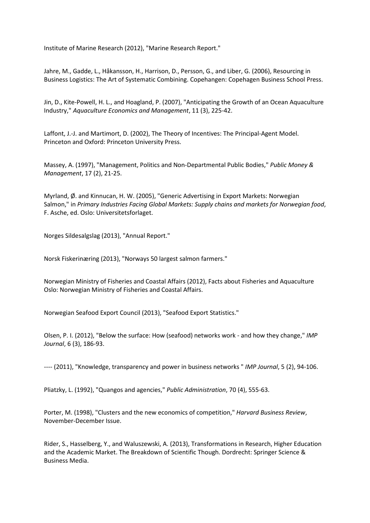<span id="page-34-13"></span>Institute of Marine Research (2012), "Marine Research Report."

<span id="page-34-10"></span>Jahre, M., Gadde, L., Håkansson, H., Harrison, D., Persson, G., and Liber, G. (2006), Resourcing in Business Logistics: The Art of Systematic Combining. Copehangen: Copehagen Business School Press.

<span id="page-34-5"></span>Jin, D., Kite-Powell, H. L., and Hoagland, P. (2007), "Anticipating the Growth of an Ocean Aquaculture Industry," *Aquaculture Economics and Management*, 11 (3), 225-42.

<span id="page-34-0"></span>Laffont, J.-J. and Martimort, D. (2002), The Theory of Incentives: The Principal-Agent Model. Princeton and Oxford: Princeton University Press.

<span id="page-34-7"></span>Massey, A. (1997), "Management, Politics and Non-Departmental Public Bodies," *Public Money & Management*, 17 (2), 21-25.

<span id="page-34-6"></span>Myrland, Ø. and Kinnucan, H. W. (2005), "Generic Advertising in Export Markets: Norwegian Salmon," in *Primary Industries Facing Global Markets: Supply chains and markets for Norwegian food*, F. Asche, ed. Oslo: Universitetsforlaget.

<span id="page-34-4"></span>Norges Sildesalgslag (2013), "Annual Report."

<span id="page-34-12"></span>Norsk Fiskerinæring (2013), "Norways 50 largest salmon farmers."

<span id="page-34-3"></span>Norwegian Ministry of Fisheries and Coastal Affairs (2012), Facts about Fisheries and Aquaculture Oslo: Norwegian Ministry of Fisheries and Coastal Affairs.

<span id="page-34-11"></span>Norwegian Seafood Export Council (2013), "Seafood Export Statistics."

<span id="page-34-9"></span>Olsen, P. I. (2012), "Below the surface: How (seafood) networks work - and how they change," *IMP Journal*, 6 (3), 186-93.

<span id="page-34-14"></span>---- (2011), "Knowledge, transparency and power in business networks " *IMP Journal*, 5 (2), 94-106.

<span id="page-34-8"></span>Pliatzky, L. (1992), "Quangos and agencies," *Public Administration*, 70 (4), 555-63.

<span id="page-34-2"></span>Porter, M. (1998), "Clusters and the new economics of competition," *Harvard Business Review*, November-December Issue.

<span id="page-34-1"></span>Rider, S., Hasselberg, Y., and Waluszewski, A. (2013), Transformations in Research, Higher Education and the Academic Market. The Breakdown of Scientific Though. Dordrecht: Springer Science & Business Media.